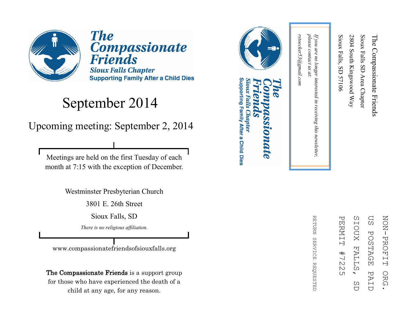

**The Compassionate Friends Sioux Falls Chapter Supporting Family After a Child Dies** 

#### September 2014

Upcoming meeting: September 2, 2014

Meetings are held on the first Tuesday of each month at 7:15 with the exception of December.

Westminster Presbyterian Church

3801 E. 26th Street

Sioux Falls, SD

*There is no religious affiliation.*

www.compassionatefriendsofsiouxfalls.org

The Compassionate Friends is a support group for those who have experienced the death of a child at any age, for any reason.



#### Supporting Family After a Child Dies Sioux Falls Chapter **LOMALE**



RETURN REFURN SERVICE REQUESTED **SERVICE REQUESTED** 

in receiving this newsletter,

rstoecker53@gmail.com *rstoecker53@gmail.com*

please contact us at: *please contact us at: If you are no longer interested in receiving this newsletter,*  If you are no longer interested

Sioux Falls, SD 57106

Sioux Falls, SD 57106

2804 South Kingswood Way

2804 South Kingswood Way

Sioux Falls SD Area Chapter

Sioux Falls SD Area Chapter

The Compassionate Friends

The Compassionate Friends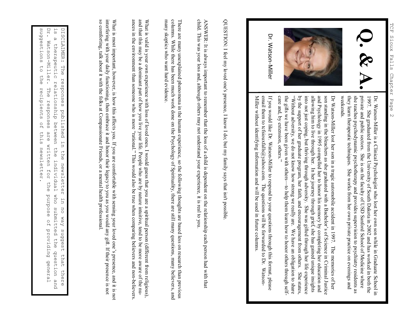

Dr. Watson-Miller

> Dr. WatsonDr. Watson-Miller is a Clinical Psychologist who lost her own son while in Graduate School in Miller is a Clinical Psychologist who lost her own son while in Graduate School in weekends. they learn therapeutic techniques. She works from her own private practice on evenings and she teaches psychodynamic psychotherapy and provides supervision to psychiatry residents as private and public sectors. She is on the faculty of USD Sanford School of Medicine where 1997. She graduated from the University of South Dakota in 2002 and has worked in both the private and public sectors. She is on the faculty of USD Sanford School of Medicine where she treaches psychodynamic psychoterapy a

and Psychology in 1995 compelled her to honor his memory by completing her education and allowing him to live through her. In her journey through grief, she has gained unique insights into not just coping, but thriving th son standing in the bleachers as she graduated with a Bachelor's of Science in Criminal Justice by the support of her graduate program, her faith, and encouragement from others. She states, the gifts we have been given with others "Without adversity, we do not know how strong we really are. We have an obligation to share into not just coping, but thriving through adversity. She was gifted through her life experience allowing him to live through her. In her journey through grief, she has gained unique insights son standing in the bleachers as she graduated with a Bachelor's of Science in Criminal Justice Dr Watson

Miller without identifying information and will be used in future columns email them to tcfsiouxfalls@yahoo.com. The questions will be forwarded to Dr. Watson-If you would like Dr. Watson-Miller to respond to your questions through this format, please entan utein to teisiouxians@yanoo.com. The questions will be tot watued to DJ, Watson-<br>Miller without identifying information and will be used in future columns. email them to tcfsiouxfalls@yahoo.com. The questions will be forwarded to Dr. WatsonIf you would like Dr. WatsonMiller to respond to your questions through this format, please

QUESTION: I feel my loved one's presence, I know I do; but my family says that isn't possible QUESTION: I feel my loved one's presence, I know I do; but my family says that isn't possible.

child. This was your loss and, although others may not understand your experience, it is real to you child. This was your loss and, although others may not understand your experience, it is real to you. ANSWER: It is always important to remember that the loss of a child is dependent on the relationship each person had with that ANSWER: It is always important to remember that the loss of a child is dependent on the relationship each person had with tha

many skeptics who want hard evidence columns. While there has been much work done on the Psychology of Spirituality, there are still many questions, many believers, and There are many unexplained phenomena in the human experience, so the following thoughts are based less on research than previous many skeptics who want hard evidence. columns. While there has been much work done on the Psychology of Spirituality, there are still many questions, many believers, and There are many unexplained phenomena in the human experience, so the following thoughts are based less on research than previ

What is valid is your own experience with loss of loved ones. I would guess that you are a spiritual person (different from r What is valid is your own experience with loss of loved ones. I would guess that you are a spiritual person (different from religious), and that this may be a dominant part of how you live your life. People who are by nature intuitive, tend to be more aware of the and that this may be a dominant part of how you live your life. People who are by nature intuitive, tend to be more aware of the nuances in the environment than someone who is more "rational." This would also be true when comparing believers and nonances in the environment than someone who is more "rational." This would also be true when comparing believers and non-believers. believers.

so comforting, talk about it with the folks at Compassionate Friends, or a mental health professional. interfering with your daily functioning, then embrace it and honor their legacy to you as you would any gift. If their presence is not What is most important, however, is how this affects you. If you are comfortable with sensing your loved one's presence, and it is not so comforting, talk about it with the folks at Compassionate Friends, or a mental health professional.interfering with your daily functioning, then embrace it and honor their legacy to you as you would any gift. If their presence is not What is most important, however, is how this affects you. If you are comfortable with sensing your loved one's presence, and it is not

suddestions Dr. Watson-Miller. ΓS DISCLAIMER: suggestions to the recipients of this newsletter. DISCLAIMER: The responses published in the newsletter in no way suggest that there<br>is a therapeutic relationship between the individual who submitted the question and<br>Dr. Watson-Miller. The responses are written for the pu Dr. Watson is a therapeutic relationship between the individual who submitted the question and  $\omega$ therapeutic Phe  $\overline{C}$ ehe responses relationship between The responses recipients published in  $\sigma_{\rm H}$ are written for the this ehe newsletter the newsletter Individual who **Burpose**  $\overline{u}$ submitted the question no way suggest of providing general that there pue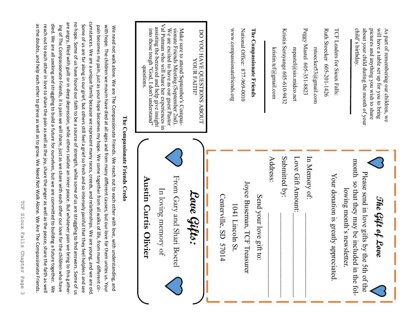TCF Sioux TCF Sioux Falls Chapter Page 3 Falls Chapter Page  $\omega$ 

cumstances. We are a unique family because we represent many races, creeds, and relationships. We are young, and we are old no hope. Some of us have found our faith to be a source of strength, while some of us are struggling to find answers. Some of us cumstances. We are a unique family because we represent many races, creeds, and relationships. We are young, and we are old. are angry, filled with guilt or in deep depression, while others radiate an inner peace. But whatever pain we bring to this gatherare angry, filled with guilt or in deep depression, while others radiate an inner peace. But whatever pain we bring to this gatherno hope. Some of us have found our faith to be a source of strength, while some of us are struggling to find answers. Some of as the doubts, and help each other to grieve as well as to grow. We Need Not Walk Alone. We Are The Compassionate Friends. died. We are all seeking and struggling to build a future for ourselves, but we are committed to building a future together. We Some of us are far along in our grief, but others still feel a grief so fresh and so intensely painful that they feel helpless and see reach out to each other in love to share the pain as well as the joy, share the anger as well as the peace, share the faith as well as the doubts, and help each other to grieve as well as to grow. We Need Not Walk Alone. We Are The Compassionate Friends. reach out to each other in love to share the pain as well as the joy, share the anger as well as the peace, share the faith as well died. We are all seeking and struggling to build a future for ourselves, but we are committed to building a future together. ing of The Compassionate Friends, it is pain we will share, just as we share with each other our love for the children who have Some of us are far along in our grief, but others still feel a grief so fresh and so intensely painful that they feel helpless and see pain becomes my pain, just as your hope becomes my hope. We come together from all walks of life, from many different cirwith hope. The children we mourn have died at all ages and from many different causes, but our love for them unites us. Your with hope. The children we mourn have died at all ages and from many different causes, but on the died at all ages using the move for the move for the move for the many different causes, but on the move for the move for th We need not walk alone. We are The Compassionate Friends. We reach out to each other with love, with understanding, and ing Of The Compassionate Friends, it is pain we will share, just as we share with each other our love for the children who have  $\kappa$ pain becomes my pain, just as your hope becomes my hope. We come together from all walks of life, from many different cir-We need not walk alone. We are The Compassionate Friends. We reach out to each other with love, with understanding, and

The Compassionate Friends Credo

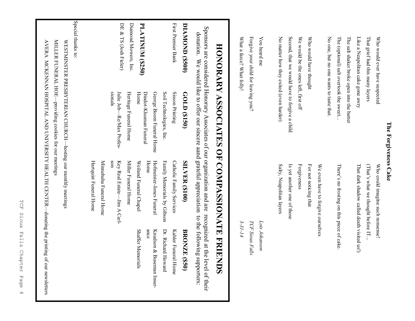| $\epsilon$  |
|-------------|
|             |
| Ç<br>!<br>ſ |
|             |
| ŗ           |
| てひと         |
|             |
| ĩ<br>١<br>í |
|             |

| Who would ever have suspected                 | Who could imagine such nonsense!           |
|-----------------------------------------------|--------------------------------------------|
| That grief had this many layers               | (That's what we thought before IT          |
| Like a Neapolitan cake gone awry              | That dark shadow called death visited us!) |
| The salt shaker broke open into the batter    |                                            |
| The (optional) salt overtook the sweet        | There's no frosting on this piece of cake. |
| No one, but no one wants to taste that.       |                                            |
|                                               | We even have to forgive ourselves          |
| Who would have thought                        | For not noticing that                      |
| We would be the ones left, first off          | Forgiveness                                |
| Second, that we would have to forgive a child | Is yet another one of those                |
| No matter how they exited (even harder)       | Salty, Neapolitan layers                   |
| You heard me                                  | Lois Johanson                              |
| Forgive your child for leaving you?           | TCF Sioux Falls                            |
| What a farce? What folly!                     | $3 - 31 - 14$                              |

# HONORARY ASSOCIATES OF COMPASSIONATE FRIENDS **HONORARY ASSOCIATES OF COMPASSIONATE FRIENDS**

Sponsors are considered Honorary Associates of our organization and are recognized at the level of their<br>Sponsors are considered Honorary Associates of our organization and are recognized at the level of their Sponsors are considered Honorary Associates of our organization and are recognized at the level of their donation. We would like to offer our sincere aand grateful appreciation to the following supporters:

|                       | donation. We would like to other our sincere aand graterul appreciation to the following |                             | supporters.                 |
|-----------------------|------------------------------------------------------------------------------------------|-----------------------------|-----------------------------|
| DIAMOND (\$500)       | GOLD (\$150)                                                                             | <b>SILVER (\$100)</b>       | <b>BRONZE</b><br>(S50)      |
| First Premier Bank    | Sisson Printing                                                                          | Catholic Family Services    | Kahler Funeral Home         |
|                       | Soil Technologies, Inc.                                                                  | Family Memorials by Gibson  | Dr. Richard<br>Howard       |
|                       | George Boom Funeral Home                                                                 | Hofmeister-Jones Funeral    | Knudson &<br>Buseman Insur- |
|                       | Dindot-Klusman Funeral                                                                   | Home                        | ance                        |
| PLATINUM (\$250)      | Home                                                                                     | Weiland Funeral Chapel      | Shaffer Memorials           |
| Diamond Mowers, Inc.  | Heritage Funeral Home                                                                    | Miller Funeral Home         |                             |
| DE & TS (Josh Fieler) | Julie Job—Re/Max Profes-                                                                 | Key Real Estate—Jim A Carl- |                             |
|                       | sionals                                                                                  | nos                         |                             |
|                       |                                                                                          | Minnehaha Funeral Home      |                             |
|                       |                                                                                          | Hartquist Funeral Home      |                             |
| Special thanks to:    |                                                                                          |                             |                             |
|                       | WESTMINSTER PRESBYTERIAN CHURCH-hosting our monthly meetings                             |                             |                             |
|                       | MILLER FUNERAL HOE-providing cookies for our meetings                                    |                             |                             |

AVERA MCKENNAN HOSPITAL AND UNIVERSITY HEALTH CENTER—donating the printing of our newsletters

AVERA MCKENNAN HOSPITAL AND UNIVERSITY HEALTH CENTER—donating the printing of our newsletters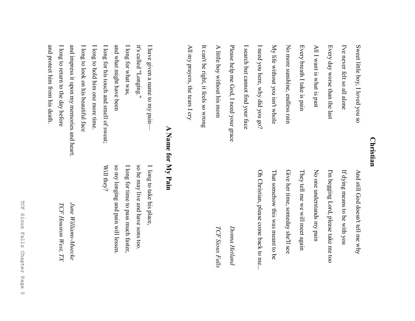#### **Christian Christian**

| Sweet little boy, I loved you so<br>I've never felt so all alone |
|------------------------------------------------------------------|
| Every day worse than the last                                    |
| All I want is what is past                                       |
| Every breath I take is pain                                      |
| No more sunshine, endless rain                                   |
| My life without you isn't whole                                  |
| I need you here, why did you go?                                 |
| I search but cannot find your face                               |
| Please help me God, I need your grace                            |
| A little boy without his mom                                     |
| It can't be right, it feels so wrong                             |
| All my prayers, the tears I cry                                  |

Oh Christian, please come back to me... That somehow this was meant to be Give her time, someday she'll see No one understands my pain If dying means to be with you Oh Christian, please come back to me... That somehow this was meant to be Give her time, someday she'll see They tell me we will meet again They tell me we will meet again No one understands my pain I'm begging Lord, please take me too I'm begging Lord, please take me too If dying means to be with you And still God doesn't tell me why And still God doesn't tell me why

Donna Hetland *Donna Hetland*

TCF Sioux Falls *TCF Sioux Falls*

### A Name for My Pain **A Name for My Pain**

| I have given a name to my pain—            | I long to take his place,            |
|--------------------------------------------|--------------------------------------|
| it's called "Longing."                     | so he may live and have sons too.    |
| I long for what was,                       | I long for time to pass much faster, |
| and what might have been                   | so my longing and pain will lessen.  |
| I long for his touch and smell of sweat;   | Will they?                           |
| I long to hold him one more time.          |                                      |
| I long to look on his beautiful face       |                                      |
| and impress it upon my memories and heart. | June Williams-Muecke                 |
| I long to return to the day before         | TCF Houston West, TX                 |
| and protect him from his death.            |                                      |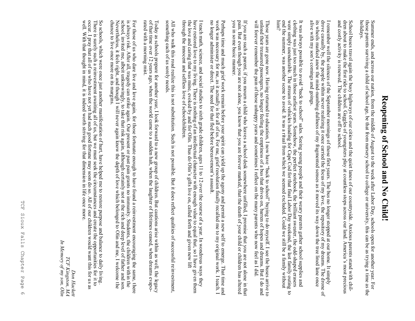## Reopening of School and No Child! **Reopening of School and No Child!**

those parents surviving a child of school age, be that from nursery school to college or university, this can be as trying a Summer ends, and across our nation, from the middle of August to the week after Labor Day, schools open for another year. For time as the Summer ends, and across our nation, from the middle of August to the week after Labor Day, schools open for another year. For<br>those parents surviving a child of school age, be that from nursery school to college or univers

and costly activity is renewed. The children are off to school. dren about to make the first ride to school. Gaggles of youngsters play at countless stops across our land. America's most precious and costly activity is renewed. The children are off to school. dren about to make the first ride to school. Gaggles of youngsters play at countless stops across our land. America's most precious School buses travel again the busy highways of our cities and the quiet lanes of our countryside. Anxious parents stand with chil-School buses travel again the busy highways of our cities and the quiet lanes of our countryside. Anxious parents stand with

alive with my son's comings and goings. alive with my son's comings and goings. its wheels marked anew the mind-numbing dullness of my fragmented senses as it moved its way down the tree lined lane once its wheels marked anew the mindI remember well the silences of the September mornings of those first years. The bus no longer stopped at our home. It simply drove casually by, the people within never realizing it once carried the focus of my love, the r drove casually by, the people within never realizing it once carried the focus of my love, the repository of my dreams. The d I remember well the silences of the September mornings of those first years. The bus no longer stopped at our home. It simply numbing dullness of my fragmented senses as it moved its way down the tree lined lane once

him? clothing was just too much in those earliest years. Somehow, the perfect notebook, the brilliant sweater, the odd-shaped erasers were simply unendurable. The stream of vehicles heading for Cape Cod for that final Labor Day It was always possible to avoid "back to school" sales. Seeing young people and their weary parents gather school supplies and  $\frac{1}{2}$ end the summer, was another seene to avoid. It was a ritual from which we seemed excluded. Could we still be a family without end the summer, was another scene to avoid. It was a ritual from which we seemed excluded. Could we still be a family without were simply unendurable. The stream of vehicles heading for Cape Cod for that final Labor Day weekend, the last family outing clothing was just too much in those earliest years. Somehow, the perfect notebook, the brilliant sweater, the oddIt was always possible to avoid "back to school" sales. Seeing young people and their weary parents gather school supplies and shaped erasers to

will forever remember the pain of those unhappy years and sometimes I reflect on the many parents who now feel as I did. will forever remember the pain of those unhappy years and sometimes I reflect on the many parents who now feel as I did. unload their treasured passengers, no longer feeling the emptiness of a bus that drives on, barren of hopes and dreams. But I Those years are gone now. Having returned to education, I now have "back to school" buying to do myself. I see the buses arrive to g and

you in some basic manner. you in some basic manner. pain. But even though you are not alone, you know that you are forever marked, that the death of your child or children has altered pain. But even though you are not alone, you know that you are forever marked, that the death of your child or children has altered If you are such a parent, if you mourn a child who leaves a school desk somewhere unfilled, I promise that you are not alone in that If you are such a parent, if you mourn a child who leaves a school desk somewhere unfilled, I promise that you are not alone

Perhaps time and much grief work remain before your spirit can yield up the agony and permit a new self to emerge. That time Perhaps time and much grief work remain before your spirit can yield up the agony and permit a new self to emerge. That time and work was necessary for me, as it actually is for all of us. For me, grief resolution finally work was necessary for me, as it actually is for all of us. For me, grief resolution finally recalled me to my original work. I teach. I no longer administer or direct. The need for that fled before bereavement's assault.

through the innocent and selfless love of schoolchildren. through the innocent and selfless love of schoolchildren. the love and caring that was mine, evoked by and for Olin. Thus do Olin's gifts live on, called forth and given new lift the love and caring that was mine, evoked by and for Olin. Thus do Olin's gifts live on, called forth and given new lift I teach math, science, and social studies to sixth grade children, ages 11 to 12 over the course of a year. In wondrous ways they have restored love to my living. There is nothing of an intellectual character with enough v have restored love to my living. There is nothing of an intellectual character with enough value to equal that, so I have given them I teach math, science, and social studies to sixth grade children, ages 11 to 12 over the course of a year. In wondrous ways they given them

something each of us sorely needs. something each of us sorely needs. All who walk this road realize this is not substitution. Such is not possible. But it does reflect qualities of successful reinvestment,  $\overline{A}$ l who walk this road realize this is not substitution. Such is not possible. But it does reflect dualities of successful reflex investment,

Today as schools prepare for another year, I look forward to a new group of children. But cautions arise within as well, the legacy of that time over 12 years ago, when the world came to a sudden halt, when the laughter of rated with a morning mist. of that time over 12 years ago, when the world came to a sudden halt, when the laughter of lifetimes ceased, when dreams evapo-Today as schools prepare for another year, I look forward to a new group of children. But cautions arise within as well, the

chance to live once more on its margins. chance to live once more on its margins. Nevertheless, it feels right, and though I will never again know the depth of love which belonged to Olin and me, I welcome the Nevertheless, it feels right, and the lowertheless right, and the depth of love which belonged to Olin and me, I welcome the which belonged to  $\sim$ school, invited me, albeit unknowingly, to take that risk again, although certainly not at the rich and deep level of father and son school, invited me, albeit unknowingly, to take that risk again, although certainly not at the rich and deep level of father and For those of us who date live and love again, for those fortunate enough to have found a reinvestment encouraging the same, there<br>is always risk. After all, tragedy can strike again. Our present or past pain grants no immu is always risk. After all, tragedy can strike again. Our present or past pain grants no immunity. Students, the children within the For those of us who dare live and love again, for those fortunate enough to have found a reinvestment encouraging the same, t rated with a morning mist.

occur. I pray that all of us who have not yet had such good fortune may soon do so. All of our children would want this for us as There is surely such a reinvestment awaiting all of us, but we must seek the circumstances and create the opportunities for it to well. With that thought in mind, it is indeed worth striving for that dimension in life once more well. With that thought in mind, it is indeed worth striving for that dimension in life once more. occur. I pray that all of us who have not yet had such good fortune may soon do so. All of our children would want this for us as as There is surely such a reinvestment awaiting all of us, but we must seek the circumstances and create the opportunities for it to So schools, which were once just another manifestation of hurt, have helped me to restore purpose and balance to daily living .

*In Memory of my son, Olin*In Memory of my son, Olin TCF Kingston, MA *TCF Kingston, MA Don Hackett* Don Hackett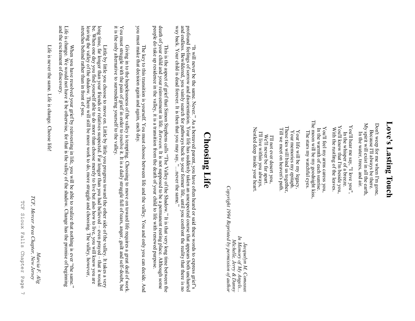## Love's Lasting Touch **Love's Lasting Touch**

My spirit will exist in all the earth, My spirit will exist in all the earth, Don't weep for me when I'm gone, Don't weep for me when I'm gone, Because I'll always be there Because I'll always be there. In the water, trees, and air. In the water, trees, and air.

You'll know that I'm beside you, You'll hear me say, "I love you" You'll hear me say, "I love you", You'll know that I'm beside you, With the rustling of the leaves. With the rustling of the leaves. In the whisper of a breeze In the whisper of a breeze.

The moon will be my goodnight kiss,<br>The stars my watchful eyes. The moon will be my goodnight kiss, You'll feel my arms caress you, You'll feel my arms caress you, In the warmth of each sunrise In the warmth of each sunrise. The stars my watchful eyes.

These ties will bind us together, These ties will bind us together, Till we meet on heaven's path. Till we meet on heaven's path. Your memories my epitaph. Your memories my epitaph. Your life will be my legacy, Your life will be my legacy,

Nestled deep inside your heart. Nestled deep inside your heart. I'll live within you always, I'll live within you always, We'll never be far apart. We'll never be far apart. I'll not ever desert you, I'll not ever desert you,

Copyright 1994 Reprinted by permission of author *Copyright 1994 Reprinted by permission of author*In Memory of My Angels...<br>Michelle, Jerry & Danny *In Memory of My Angels... Michelle, Jerry & Danny* Jacquelyn M. Comeaux *Jacquelyn M. Comeaux*

#### **Choosing Life Choosing Life**

"It will never be the same. Never." As a bereaved parent, you have often heard or said these words to express grief's and endless. Bewildered, you vainly search for pathways back to your former life, until you confront the reality that there i profound feelings of sorrow and disorientation. Your life has suddenly taken an unexpected course that appears both uncharted "It will never be the same. Never." As a bereaved parent, you have often heard or said these words to express grief's profound feelings of sorrow and disorientation. Your life has suddenly taken an unexpected course that way back. Your child is dead forever. It is then that you may say, "…never the same."

This is the aspect of grief that Simon Stephens calls "The Valley of the Shadow." It is that very long time between the death of your child and your reinvestment in life. *Between*. It is not supposed to be a permanent res people do take up residence in the valley, it is a transition from the death of your child to life with renewed purpose. death of your child and your reinvestment in life. This is the aspect of grief that Simon Stephens calls "The Valley of the Shadow." It is that very long time between the *Between.* It is not supposed to be a permanent resting place. Although some

you must make that decision again and again, each day. you must make that decision again and again, each day. The key to this transition is yourself. You must choose between life and the valley. You and only you can decide. And The key to this transition is yourself. You must choose between life and the valley. You and only you can decide. And

Giving in to the hopelessness of the valley is tempting. Choosing to move on toward life requires a great deal of work. You must struggle with the pain of grief in order to resolve it. It is a daily struggle full of tears, anger, guilt and self -doubt, but it is the only alternative to surrendering yourself to the valley.

Little by little you choose to move on. Little by little you progress toward the other side of the valley. It takes a very<br>long time, far longer than your friends or relatives suspected. Far longer than you had believed – stretches behind rather than in front of you. leaving the valley of the shadow. There will still be more work to do, more struggle and choosing. The valley, however, be. When one day you find yourself able to do more than choose merely to live but also how to live, you will know you are long time, far longer than your friends or relatives suspected. Far longer than you had believed – Little by little by little you choose to move to move that is the value of the value of the valley. It takes a very even prayed – that it would

and the excitement of discovery. When you have resolved your grief by reinvesting in life, you will be able to realize that nothing is ever "the same."<br>Life is change. We would not have it be otherwise, for that is the valley of the shadow. Change has th and the excitement of discovery. Life is change. We would not have it be otherwise, for that is the valley of the shadow. Change has the promise of beginning When you have resolved your grief by reinvesting in life, you will be able to realize that nothing is ever "the same."

Life is never the same. Life is change. Choose life Life is never the same. Life is change. Choose life!

TCF, Mercer Area Chapter, New Jersey *TCF, Mercer Area Chapter, New Jersey*

*Marcia F. Alig*

Marcia F. Alig